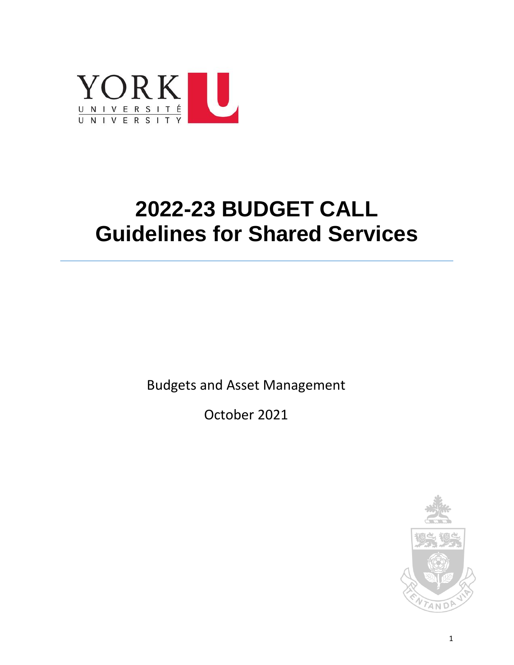

# **2022-23 BUDGET CALL Guidelines for Shared Services**

Budgets and Asset Management

October 2021

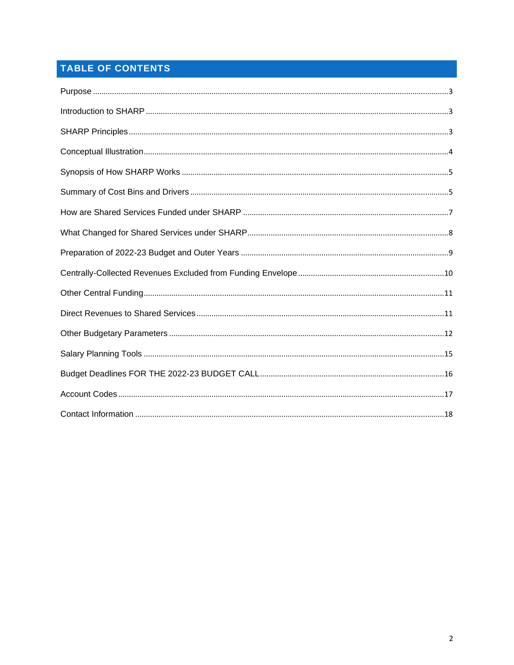# TABLE OF CONTENTS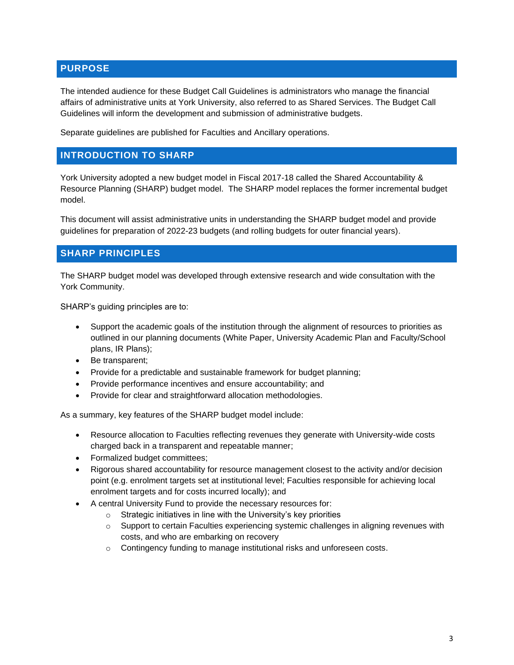### <span id="page-2-0"></span>**PURPOSE**

The intended audience for these Budget Call Guidelines is administrators who manage the financial affairs of administrative units at York University, also referred to as Shared Services. The Budget Call Guidelines will inform the development and submission of administrative budgets.

Separate guidelines are published for Faculties and Ancillary operations.

### <span id="page-2-1"></span>**INTRODUCTION TO SHARP**

York University adopted a new budget model in Fiscal 2017-18 called the Shared Accountability & Resource Planning (SHARP) budget model. The SHARP model replaces the former incremental budget model.

This document will assist administrative units in understanding the SHARP budget model and provide guidelines for preparation of 2022-23 budgets (and rolling budgets for outer financial years).

### <span id="page-2-2"></span>**SHARP PRINCIPLES**

The SHARP budget model was developed through extensive research and wide consultation with the York Community.

SHARP's guiding principles are to:

- Support the academic goals of the institution through the alignment of resources to priorities as outlined in our planning documents (White Paper, University Academic Plan and Faculty/School plans, IR Plans);
- Be transparent;
- Provide for a predictable and sustainable framework for budget planning;
- Provide performance incentives and ensure accountability; and
- Provide for clear and straightforward allocation methodologies.

As a summary, key features of the SHARP budget model include:

- Resource allocation to Faculties reflecting revenues they generate with University-wide costs charged back in a transparent and repeatable manner;
- Formalized budget committees;
- Rigorous shared accountability for resource management closest to the activity and/or decision point (e.g. enrolment targets set at institutional level; Faculties responsible for achieving local enrolment targets and for costs incurred locally); and
- A central University Fund to provide the necessary resources for:
	- $\circ$  Strategic initiatives in line with the University's key priorities
	- o Support to certain Faculties experiencing systemic challenges in aligning revenues with costs, and who are embarking on recovery
	- o Contingency funding to manage institutional risks and unforeseen costs.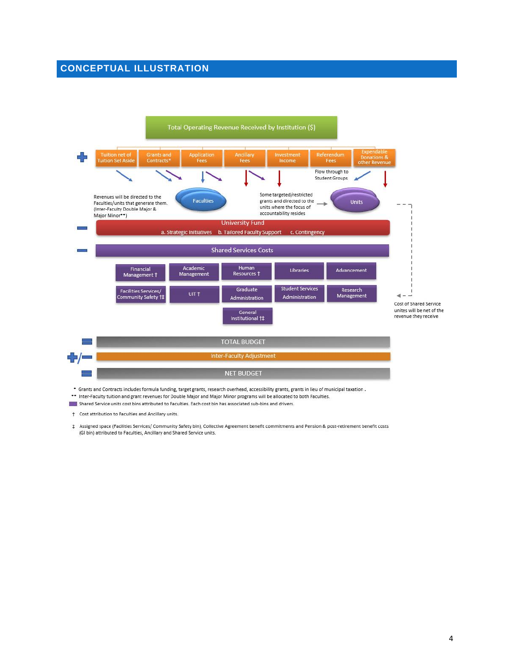### <span id="page-3-0"></span>**CONCEPTUAL ILLUSTRATION**



- \*\* Inter-Faculty tuition and grant revenues for Double Major and Major Minor programs will be allocated to both Faculties.
- Shared Service units cost bins attributed to Faculties. Each cost bin has associated sub-bins and drivers.

† Cost attribution to Faculties and Ancillary units.

# Assigned space (Facilities Services/ Community Safety bin), Collective Agreement benefit commitments and Pension & post-retirement benefit costs (GI bin) attributed to Faculties, Ancillary and Shared Service units.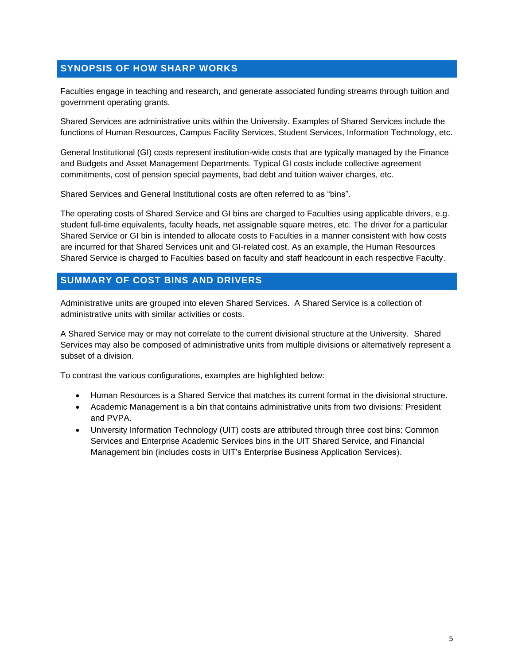### <span id="page-4-0"></span>**SYNOPSIS OF HOW SHARP WORKS**

Faculties engage in teaching and research, and generate associated funding streams through tuition and government operating grants.

Shared Services are administrative units within the University. Examples of Shared Services include the functions of Human Resources, Campus Facility Services, Student Services, Information Technology, etc.

General Institutional (GI) costs represent institution-wide costs that are typically managed by the Finance and Budgets and Asset Management Departments. Typical GI costs include collective agreement commitments, cost of pension special payments, bad debt and tuition waiver charges, etc.

Shared Services and General Institutional costs are often referred to as "bins".

The operating costs of Shared Service and GI bins are charged to Faculties using applicable drivers, e.g. student full-time equivalents, faculty heads, net assignable square metres, etc. The driver for a particular Shared Service or GI bin is intended to allocate costs to Faculties in a manner consistent with how costs are incurred for that Shared Services unit and GI-related cost. As an example, the Human Resources Shared Service is charged to Faculties based on faculty and staff headcount in each respective Faculty.

### <span id="page-4-1"></span>**SUMMARY OF COST BINS AND DRIVERS**

Administrative units are grouped into eleven Shared Services. A Shared Service is a collection of administrative units with similar activities or costs.

A Shared Service may or may not correlate to the current divisional structure at the University. Shared Services may also be composed of administrative units from multiple divisions or alternatively represent a subset of a division.

To contrast the various configurations, examples are highlighted below:

- Human Resources is a Shared Service that matches its current format in the divisional structure.
- Academic Management is a bin that contains administrative units from two divisions: President and PVPA.
- University Information Technology (UIT) costs are attributed through three cost bins: Common Services and Enterprise Academic Services bins in the UIT Shared Service, and Financial Management bin (includes costs in UIT's Enterprise Business Application Services).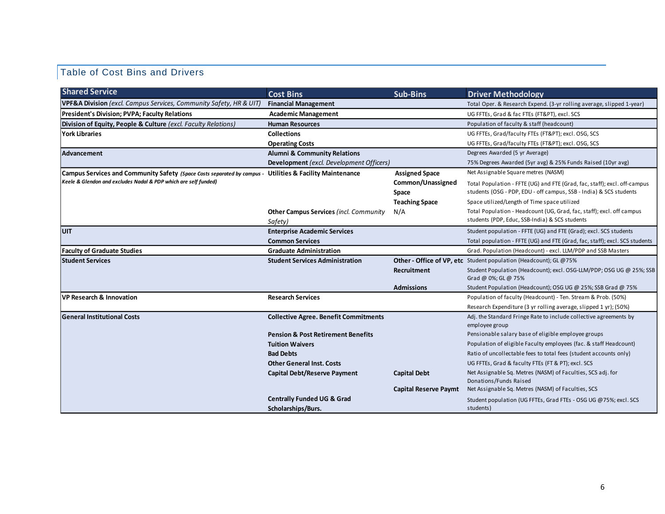# Table of Cost Bins and Drivers

| <b>Shared Service</b>                                                                                    | <b>Cost Bins</b>                              | <b>Sub-Bins</b>              | <b>Driver Methodology</b>                                                                   |
|----------------------------------------------------------------------------------------------------------|-----------------------------------------------|------------------------------|---------------------------------------------------------------------------------------------|
| <b>VPF&amp;A Division</b> (excl. Campus Services, Community Safety, HR & UIT)                            | <b>Financial Management</b>                   |                              | Total Oper. & Research Expend. (3-yr rolling average, slipped 1-year)                       |
| <b>President's Division; PVPA; Faculty Relations</b>                                                     | <b>Academic Management</b>                    |                              | UG FFTEs, Grad & fac FTEs (FT&PT), excl. SCS                                                |
| Division of Equity, People & Culture (excl. Faculty Relations)                                           | <b>Human Resources</b>                        |                              | Population of faculty & staff (headcount)                                                   |
| York Libraries                                                                                           | <b>Collections</b>                            |                              | UG FFTEs, Grad/faculty FTEs (FT&PT); excl. OSG, SCS                                         |
|                                                                                                          | <b>Operating Costs</b>                        |                              | UG FFTEs, Grad/faculty FTEs (FT&PT); excl. OSG, SCS                                         |
| Advancement                                                                                              | <b>Alumni &amp; Community Relations</b>       |                              | Degrees Awarded (5 yr Average)                                                              |
|                                                                                                          | Development (excl. Development Officers)      |                              | 75% Degrees Awarded (5yr avg) & 25% Funds Raised (10yr avg)                                 |
| Campus Services and Community Safety (Space Costs separated by campus - Utilities & Facility Maintenance |                                               | <b>Assigned Space</b>        | Net Assignable Square metres (NASM)                                                         |
| Keele & Glendon and excludes Nadal & PDP which are self funded)                                          |                                               | Common/Unassigned            | Total Population - FFTE (UG) and FTE (Grad, fac, staff); excl. off-campus                   |
|                                                                                                          |                                               | Space                        | students (OSG - PDP, EDU - off campus, SSB - India) & SCS students                          |
|                                                                                                          |                                               | <b>Teaching Space</b>        | Space utilized/Length of Time space utilized                                                |
|                                                                                                          | <b>Other Campus Services (incl. Community</b> | N/A                          | Total Population - Headcount (UG, Grad, fac, staff); excl. off campus                       |
|                                                                                                          | Safety)                                       |                              | students (PDP, Educ, SSB-India) & SCS students                                              |
| <b>UIT</b>                                                                                               | <b>Enterprise Academic Services</b>           |                              | Student population - FFTE (UG) and FTE (Grad); excl. SCS students                           |
|                                                                                                          | <b>Common Services</b>                        |                              | Total population - FFTE (UG) and FTE (Grad, fac, staff); excl. SCS students                 |
| <b>Faculty of Graduate Studies</b>                                                                       | <b>Graduate Administration</b>                |                              | Grad. Population (Headcount) - excl. LLM/PDP and SSB Masters                                |
| <b>Student Services</b>                                                                                  | <b>Student Services Administration</b>        |                              | <b>Other - Office of VP, etc</b> Student population (Headcount); GL @75%                    |
|                                                                                                          |                                               | Recruitment                  | Student Population (Headcount); excl. OSG-LLM/PDP; OSG UG @ 25%; SSB<br>Grad @ 0%; GL @ 75% |
|                                                                                                          |                                               | <b>Admissions</b>            | Student Population (Headcount); OSG UG @ 25%; SSB Grad @ 75%                                |
| VP Research & Innovation                                                                                 | <b>Research Services</b>                      |                              | Population of faculty (Headcount) - Ten. Stream & Prob. (50%)                               |
|                                                                                                          |                                               |                              | Research Expenditure (3 yr rolling average, slipped 1 yr); (50%)                            |
| <b>General Institutional Costs</b>                                                                       | <b>Collective Agree. Benefit Commitments</b>  |                              | Adj. the Standard Fringe Rate to include collective agreements by                           |
|                                                                                                          |                                               |                              | employee group                                                                              |
|                                                                                                          | <b>Pension &amp; Post Retirement Benefits</b> |                              | Pensionable salary base of eligible employee groups                                         |
|                                                                                                          | <b>Tuition Waivers</b>                        |                              | Population of eligible Faculty employees (fac. & staff Headcount)                           |
|                                                                                                          | <b>Bad Debts</b>                              |                              | Ratio of uncollectable fees to total fees (student accounts only)                           |
|                                                                                                          | <b>Other General Inst. Costs</b>              |                              | UG FFTEs, Grad & faculty FTEs (FT & PT); excl. SCS                                          |
|                                                                                                          | <b>Capital Debt/Reserve Payment</b>           | <b>Capital Debt</b>          | Net Assignable Sq. Metres (NASM) of Faculties, SCS adj. for                                 |
|                                                                                                          |                                               |                              | Donations/Funds Raised<br>Net Assignable Sq. Metres (NASM) of Faculties, SCS                |
|                                                                                                          |                                               | <b>Capital Reserve Paymt</b> |                                                                                             |
|                                                                                                          | <b>Centrally Funded UG &amp; Grad</b>         |                              | Student population (UG FFTEs, Grad FTEs - OSG UG @75%; excl. SCS<br>students)               |
|                                                                                                          | Scholarships/Burs.                            |                              |                                                                                             |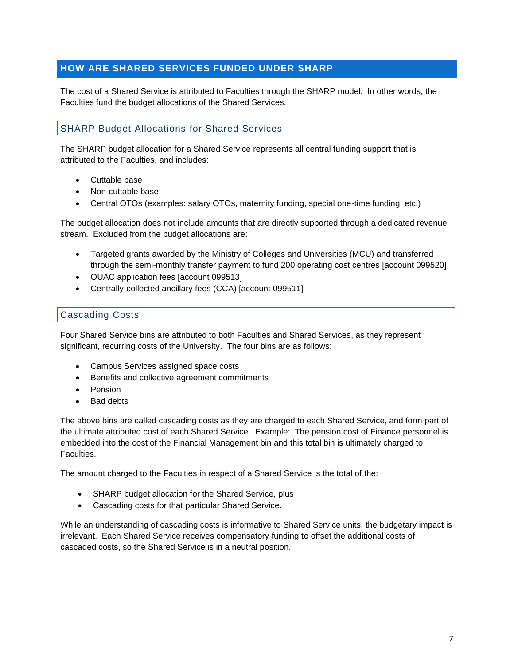### <span id="page-6-0"></span>**HOW ARE SHARED SERVICES FUNDED UNDER SHARP**

The cost of a Shared Service is attributed to Faculties through the SHARP model. In other words, the Faculties fund the budget allocations of the Shared Services.

### SHARP Budget Allocations for Shared Services

The SHARP budget allocation for a Shared Service represents all central funding support that is attributed to the Faculties, and includes:

- Cuttable base
- Non-cuttable base
- Central OTOs (examples: salary OTOs, maternity funding, special one-time funding, etc.)

The budget allocation does not include amounts that are directly supported through a dedicated revenue stream. Excluded from the budget allocations are:

- Targeted grants awarded by the Ministry of Colleges and Universities (MCU) and transferred through the semi-monthly transfer payment to fund 200 operating cost centres [account 099520]
- OUAC application fees [account 099513]
- Centrally-collected ancillary fees (CCA) [account 099511]

### Cascading Costs

Four Shared Service bins are attributed to both Faculties and Shared Services, as they represent significant, recurring costs of the University. The four bins are as follows:

- Campus Services assigned space costs
- Benefits and collective agreement commitments
- Pension
- **Bad debts**

The above bins are called cascading costs as they are charged to each Shared Service, and form part of the ultimate attributed cost of each Shared Service. Example: The pension cost of Finance personnel is embedded into the cost of the Financial Management bin and this total bin is ultimately charged to Faculties.

The amount charged to the Faculties in respect of a Shared Service is the total of the:

- SHARP budget allocation for the Shared Service, plus
- Cascading costs for that particular Shared Service.

While an understanding of cascading costs is informative to Shared Service units, the budgetary impact is irrelevant. Each Shared Service receives compensatory funding to offset the additional costs of cascaded costs, so the Shared Service is in a neutral position.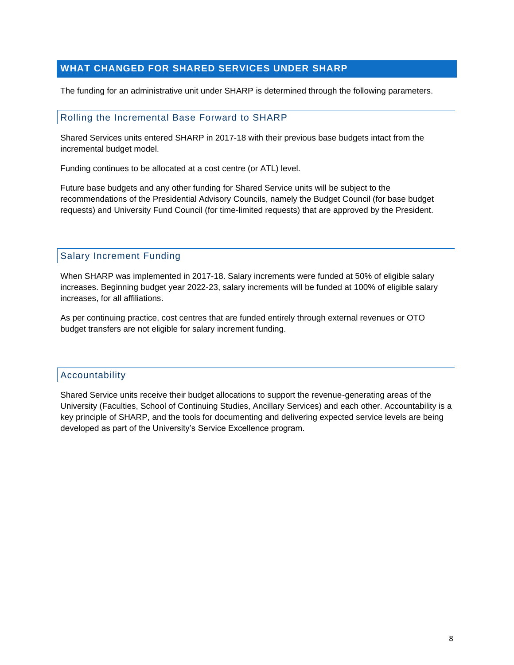### <span id="page-7-0"></span>**WHAT CHANGED FOR SHARED SERVICES UNDER SHARP**

The funding for an administrative unit under SHARP is determined through the following parameters.

#### Rolling the Incremental Base Forward to SHARP

Shared Services units entered SHARP in 2017-18 with their previous base budgets intact from the incremental budget model.

Funding continues to be allocated at a cost centre (or ATL) level.

Future base budgets and any other funding for Shared Service units will be subject to the recommendations of the Presidential Advisory Councils, namely the Budget Council (for base budget requests) and University Fund Council (for time-limited requests) that are approved by the President.

#### Salary Increment Funding

When SHARP was implemented in 2017-18. Salary increments were funded at 50% of eligible salary increases. Beginning budget year 2022-23, salary increments will be funded at 100% of eligible salary increases, for all affiliations.

As per continuing practice, cost centres that are funded entirely through external revenues or OTO budget transfers are not eligible for salary increment funding.

#### Accountability

Shared Service units receive their budget allocations to support the revenue-generating areas of the University (Faculties, School of Continuing Studies, Ancillary Services) and each other. Accountability is a key principle of SHARP, and the tools for documenting and delivering expected service levels are being developed as part of the University's Service Excellence program.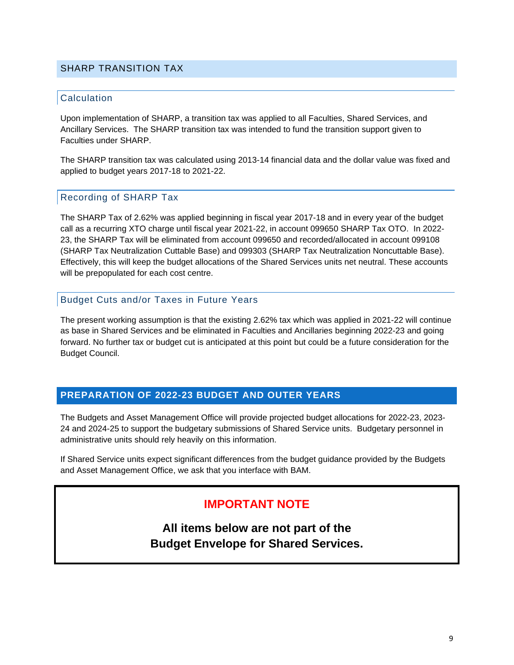#### SHARP TRANSITION TAX

#### **Calculation**

Upon implementation of SHARP, a transition tax was applied to all Faculties, Shared Services, and Ancillary Services. The SHARP transition tax was intended to fund the transition support given to Faculties under SHARP.

The SHARP transition tax was calculated using 2013-14 financial data and the dollar value was fixed and applied to budget years 2017-18 to 2021-22.

#### Recording of SHARP Tax

The SHARP Tax of 2.62% was applied beginning in fiscal year 2017-18 and in every year of the budget call as a recurring XTO charge until fiscal year 2021-22, in account 099650 SHARP Tax OTO. In 2022- 23, the SHARP Tax will be eliminated from account 099650 and recorded/allocated in account 099108 (SHARP Tax Neutralization Cuttable Base) and 099303 (SHARP Tax Neutralization Noncuttable Base). Effectively, this will keep the budget allocations of the Shared Services units net neutral. These accounts will be prepopulated for each cost centre.

#### Budget Cuts and/or Taxes in Future Years

The present working assumption is that the existing 2.62% tax which was applied in 2021-22 will continue as base in Shared Services and be eliminated in Faculties and Ancillaries beginning 2022-23 and going forward. No further tax or budget cut is anticipated at this point but could be a future consideration for the Budget Council.

#### <span id="page-8-0"></span>**PREPARATION OF 2022-23 BUDGET AND OUTER YEARS**

The Budgets and Asset Management Office will provide projected budget allocations for 2022-23, 2023- 24 and 2024-25 to support the budgetary submissions of Shared Service units. Budgetary personnel in administrative units should rely heavily on this information.

If Shared Service units expect significant differences from the budget guidance provided by the Budgets and Asset Management Office, we ask that you interface with BAM.

### **IMPORTANT NOTE**

**All items below are not part of the Budget Envelope for Shared Services.**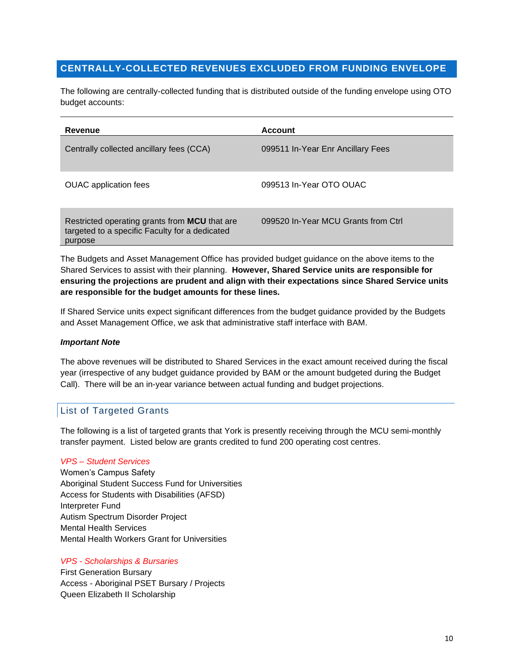### <span id="page-9-0"></span>**CENTRALLY-COLLECTED REVENUES EXCLUDED FROM FUNDING ENVELOPE**

The following are centrally-collected funding that is distributed outside of the funding envelope using OTO budget accounts:

| Revenue                                                                                                    | <b>Account</b>                      |
|------------------------------------------------------------------------------------------------------------|-------------------------------------|
| Centrally collected ancillary fees (CCA)                                                                   | 099511 In-Year Enr Ancillary Fees   |
| <b>OUAC</b> application fees                                                                               | 099513 In-Year OTO OUAC             |
| Restricted operating grants from MCU that are<br>targeted to a specific Faculty for a dedicated<br>purpose | 099520 In-Year MCU Grants from Ctrl |

The Budgets and Asset Management Office has provided budget guidance on the above items to the Shared Services to assist with their planning. **However, Shared Service units are responsible for ensuring the projections are prudent and align with their expectations since Shared Service units are responsible for the budget amounts for these lines.** 

If Shared Service units expect significant differences from the budget guidance provided by the Budgets and Asset Management Office, we ask that administrative staff interface with BAM.

#### *Important Note*

The above revenues will be distributed to Shared Services in the exact amount received during the fiscal year (irrespective of any budget guidance provided by BAM or the amount budgeted during the Budget Call). There will be an in-year variance between actual funding and budget projections.

### List of Targeted Grants

The following is a list of targeted grants that York is presently receiving through the MCU semi-monthly transfer payment. Listed below are grants credited to fund 200 operating cost centres.

#### *VPS – Student Services*

Women's Campus Safety Aboriginal Student Success Fund for Universities Access for Students with Disabilities (AFSD) Interpreter Fund Autism Spectrum Disorder Project Mental Health Services Mental Health Workers Grant for Universities

#### *VPS - Scholarships & Bursaries*

First Generation Bursary Access - Aboriginal PSET Bursary / Projects Queen Elizabeth II Scholarship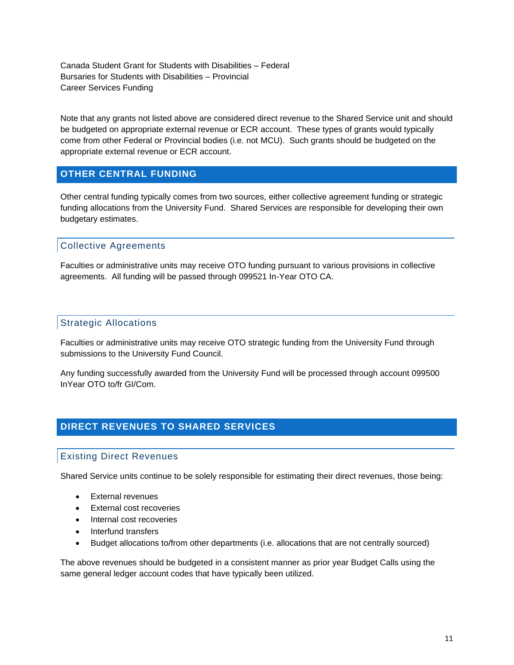Canada Student Grant for Students with Disabilities – Federal Bursaries for Students with Disabilities – Provincial Career Services Funding

Note that any grants not listed above are considered direct revenue to the Shared Service unit and should be budgeted on appropriate external revenue or ECR account. These types of grants would typically come from other Federal or Provincial bodies (i.e. not MCU). Such grants should be budgeted on the appropriate external revenue or ECR account.

### <span id="page-10-0"></span>**OTHER CENTRAL FUNDING**

Other central funding typically comes from two sources, either collective agreement funding or strategic funding allocations from the University Fund. Shared Services are responsible for developing their own budgetary estimates.

### Collective Agreements

Faculties or administrative units may receive OTO funding pursuant to various provisions in collective agreements. All funding will be passed through 099521 In-Year OTO CA.

### Strategic Allocations

Faculties or administrative units may receive OTO strategic funding from the University Fund through submissions to the University Fund Council.

Any funding successfully awarded from the University Fund will be processed through account 099500 InYear OTO to/fr GI/Com.

### <span id="page-10-1"></span>**DIRECT REVENUES TO SHARED SERVICES**

### Existing Direct Revenues

Shared Service units continue to be solely responsible for estimating their direct revenues, those being:

- External revenues
- External cost recoveries
- Internal cost recoveries
- Interfund transfers
- Budget allocations to/from other departments (i.e. allocations that are not centrally sourced)

The above revenues should be budgeted in a consistent manner as prior year Budget Calls using the same general ledger account codes that have typically been utilized.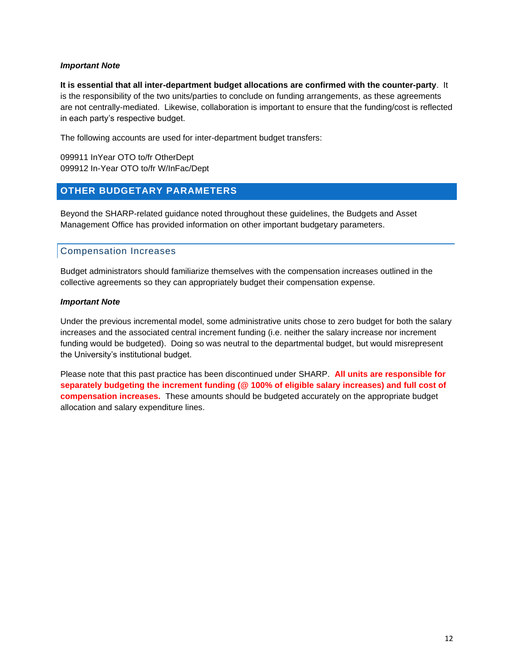#### *Important Note*

**It is essential that all inter-department budget allocations are confirmed with the counter-party**. It is the responsibility of the two units/parties to conclude on funding arrangements, as these agreements are not centrally-mediated. Likewise, collaboration is important to ensure that the funding/cost is reflected in each party's respective budget.

The following accounts are used for inter-department budget transfers:

099911 InYear OTO to/fr OtherDept 099912 In-Year OTO to/fr W/InFac/Dept

### <span id="page-11-0"></span>**OTHER BUDGETARY PARAMETERS**

Beyond the SHARP-related guidance noted throughout these guidelines, the Budgets and Asset Management Office has provided information on other important budgetary parameters.

### Compensation Increases

Budget administrators should familiarize themselves with the compensation increases outlined in the collective agreements so they can appropriately budget their compensation expense.

#### *Important Note*

Under the previous incremental model, some administrative units chose to zero budget for both the salary increases and the associated central increment funding (i.e. neither the salary increase nor increment funding would be budgeted). Doing so was neutral to the departmental budget, but would misrepresent the University's institutional budget.

Please note that this past practice has been discontinued under SHARP. **All units are responsible for separately budgeting the increment funding (@ 100% of eligible salary increases) and full cost of compensation increases.** These amounts should be budgeted accurately on the appropriate budget allocation and salary expenditure lines.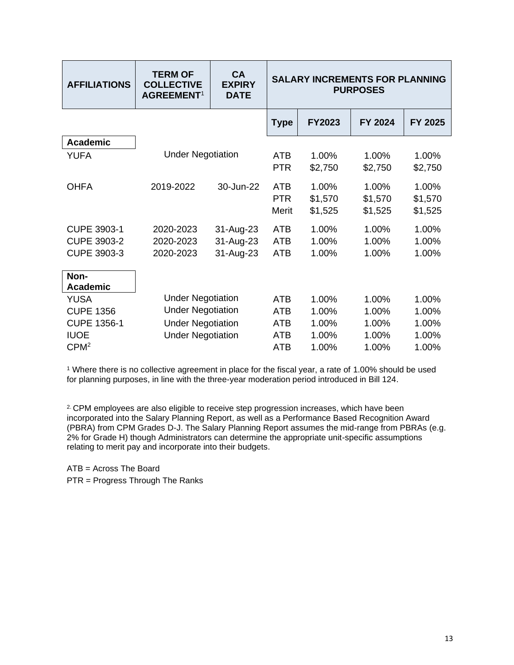| <b>AFFILIATIONS</b>             | <b>TERM OF</b><br><b>COLLECTIVE</b><br>AGREEMENT <sup>1</sup> | CA<br><b>EXPIRY</b><br><b>DATE</b> | <b>SALARY INCREMENTS FOR PLANNING</b><br><b>PURPOSES</b> |                             |                             |                             |
|---------------------------------|---------------------------------------------------------------|------------------------------------|----------------------------------------------------------|-----------------------------|-----------------------------|-----------------------------|
|                                 |                                                               |                                    | <b>Type</b>                                              | <b>FY2023</b>               | FY 2024                     | FY 2025                     |
| <b>Academic</b>                 |                                                               |                                    |                                                          |                             |                             |                             |
| <b>YUFA</b>                     | <b>Under Negotiation</b>                                      |                                    | <b>ATB</b><br><b>PTR</b>                                 | 1.00%<br>\$2,750            | 1.00%<br>\$2,750            | 1.00%<br>\$2,750            |
| <b>OHFA</b>                     | 2019-2022                                                     | 30-Jun-22                          | <b>ATB</b><br><b>PTR</b><br><b>Merit</b>                 | 1.00%<br>\$1,570<br>\$1,525 | 1.00%<br>\$1,570<br>\$1,525 | 1.00%<br>\$1,570<br>\$1,525 |
| <b>CUPE 3903-1</b>              | 2020-2023                                                     | 31-Aug-23                          | <b>ATB</b>                                               | 1.00%                       | 1.00%                       | 1.00%                       |
| <b>CUPE 3903-2</b>              | 2020-2023                                                     | 31-Aug-23                          | <b>ATB</b>                                               | 1.00%                       | 1.00%                       | 1.00%                       |
| CUPE 3903-3                     | 2020-2023                                                     | 31-Aug-23                          | <b>ATB</b>                                               | 1.00%                       | 1.00%                       | 1.00%                       |
| Non-<br><b>Academic</b>         |                                                               |                                    |                                                          |                             |                             |                             |
| YUSA                            | <b>Under Negotiation</b>                                      |                                    | <b>ATB</b>                                               | 1.00%                       | 1.00%                       | 1.00%                       |
| <b>CUPE 1356</b>                | <b>Under Negotiation</b>                                      |                                    | <b>ATB</b>                                               | 1.00%                       | 1.00%                       | 1.00%                       |
| <b>CUPE 1356-1</b>              | <b>Under Negotiation</b>                                      |                                    | <b>ATB</b>                                               | 1.00%                       | 1.00%                       | 1.00%                       |
| <b>IUOE</b><br>CPM <sup>2</sup> | <b>Under Negotiation</b>                                      |                                    | ATB<br><b>ATB</b>                                        | 1.00%<br>1.00%              | 1.00%<br>1.00%              | 1.00%<br>1.00%              |

<sup>1</sup> Where there is no collective agreement in place for the fiscal year, a rate of 1.00% should be used for planning purposes, in line with the three-year moderation period introduced in Bill 124.

<sup>2.</sup> CPM employees are also eligible to receive step progression increases, which have been incorporated into the Salary Planning Report, as well as a Performance Based Recognition Award (PBRA) from CPM Grades D-J. The Salary Planning Report assumes the mid-range from PBRAs (e.g. 2% for Grade H) though Administrators can determine the appropriate unit-specific assumptions relating to merit pay and incorporate into their budgets.

ATB = Across The Board

PTR = Progress Through The Ranks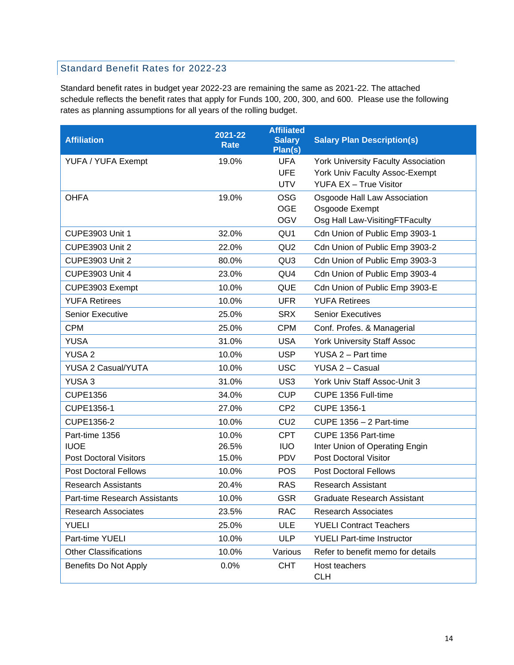### Standard Benefit Rates for 2022-23

Standard benefit rates in budget year 2022-23 are remaining the same as 2021-22. The attached schedule reflects the benefit rates that apply for Funds 100, 200, 300, and 600. Please use the following rates as planning assumptions for all years of the rolling budget.

| <b>Affiliation</b>            | $2021 - 22$<br><b>Rate</b> | <b>Affiliated</b><br><b>Salary</b><br>Plan(s) | <b>Salary Plan Description(s)</b>          |
|-------------------------------|----------------------------|-----------------------------------------------|--------------------------------------------|
| YUFA / YUFA Exempt            | 19.0%                      | <b>UFA</b>                                    | <b>York University Faculty Association</b> |
|                               |                            | <b>UFE</b>                                    | York Univ Faculty Assoc-Exempt             |
|                               |                            | <b>UTV</b>                                    | <b>YUFA EX - True Visitor</b>              |
| <b>OHFA</b>                   | 19.0%                      | <b>OSG</b>                                    | Osgoode Hall Law Association               |
|                               |                            | <b>OGE</b>                                    | Osgoode Exempt                             |
|                               |                            | <b>OGV</b>                                    | Osg Hall Law-VisitingFTFaculty             |
| <b>CUPE3903 Unit 1</b>        | 32.0%                      | QU <sub>1</sub>                               | Cdn Union of Public Emp 3903-1             |
| <b>CUPE3903 Unit 2</b>        | 22.0%                      | QU <sub>2</sub>                               | Cdn Union of Public Emp 3903-2             |
| <b>CUPE3903 Unit 2</b>        | 80.0%                      | QU <sub>3</sub>                               | Cdn Union of Public Emp 3903-3             |
| <b>CUPE3903 Unit 4</b>        | 23.0%                      | QU4                                           | Cdn Union of Public Emp 3903-4             |
| CUPE3903 Exempt               | 10.0%                      | <b>QUE</b>                                    | Cdn Union of Public Emp 3903-E             |
| <b>YUFA Retirees</b>          | 10.0%                      | <b>UFR</b>                                    | <b>YUFA Retirees</b>                       |
| <b>Senior Executive</b>       | 25.0%                      | <b>SRX</b>                                    | <b>Senior Executives</b>                   |
| <b>CPM</b>                    | 25.0%                      | <b>CPM</b>                                    | Conf. Profes. & Managerial                 |
| <b>YUSA</b>                   | 31.0%                      | <b>USA</b>                                    | <b>York University Staff Assoc</b>         |
| <b>YUSA 2</b>                 | 10.0%                      | <b>USP</b>                                    | YUSA 2 - Part time                         |
| <b>YUSA 2 Casual/YUTA</b>     | 10.0%                      | <b>USC</b>                                    | YUSA 2 - Casual                            |
| <b>YUSA3</b>                  | 31.0%                      | US <sub>3</sub>                               | York Univ Staff Assoc-Unit 3               |
| <b>CUPE1356</b>               | 34.0%                      | <b>CUP</b>                                    | CUPE 1356 Full-time                        |
| CUPE1356-1                    | 27.0%                      | CP <sub>2</sub>                               | <b>CUPE 1356-1</b>                         |
| CUPE1356-2                    | 10.0%                      | CU <sub>2</sub>                               | CUPE $1356 - 2$ Part-time                  |
| Part-time 1356                | 10.0%                      | <b>CPT</b>                                    | CUPE 1356 Part-time                        |
| <b>IUOE</b>                   | 26.5%                      | <b>IUO</b>                                    | Inter Union of Operating Engin             |
| <b>Post Doctoral Visitors</b> | 15.0%                      | <b>PDV</b>                                    | <b>Post Doctoral Visitor</b>               |
| <b>Post Doctoral Fellows</b>  | 10.0%                      | <b>POS</b>                                    | <b>Post Doctoral Fellows</b>               |
| <b>Research Assistants</b>    | 20.4%                      | <b>RAS</b>                                    | <b>Research Assistant</b>                  |
| Part-time Research Assistants | 10.0%                      | <b>GSR</b>                                    | <b>Graduate Research Assistant</b>         |
| <b>Research Associates</b>    | 23.5%                      | <b>RAC</b>                                    | <b>Research Associates</b>                 |
| <b>YUELI</b>                  | 25.0%                      | ULE                                           | <b>YUELI Contract Teachers</b>             |
| Part-time YUELI               | 10.0%                      | <b>ULP</b>                                    | <b>YUELI Part-time Instructor</b>          |
| <b>Other Classifications</b>  | 10.0%                      | Various                                       | Refer to benefit memo for details          |
| Benefits Do Not Apply         | 0.0%                       | <b>CHT</b>                                    | Host teachers<br><b>CLH</b>                |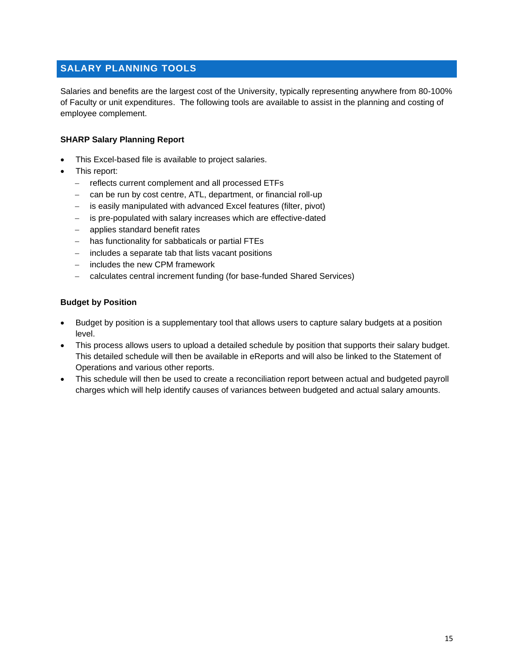### <span id="page-14-0"></span>**SALARY PLANNING TOOLS**

Salaries and benefits are the largest cost of the University, typically representing anywhere from 80-100% of Faculty or unit expenditures. The following tools are available to assist in the planning and costing of employee complement.

#### **SHARP Salary Planning Report**

- This Excel-based file is available to project salaries.
- This report:
	- − reflects current complement and all processed ETFs
	- can be run by cost centre, ATL, department, or financial roll-up
	- − is easily manipulated with advanced Excel features (filter, pivot)
	- − is pre-populated with salary increases which are effective-dated
	- − applies standard benefit rates
	- − has functionality for sabbaticals or partial FTEs
	- − includes a separate tab that lists vacant positions
	- − includes the new CPM framework
	- − calculates central increment funding (for base-funded Shared Services)

#### **Budget by Position**

- Budget by position is a supplementary tool that allows users to capture salary budgets at a position level.
- This process allows users to upload a detailed schedule by position that supports their salary budget. This detailed schedule will then be available in eReports and will also be linked to the Statement of Operations and various other reports.
- This schedule will then be used to create a reconciliation report between actual and budgeted payroll charges which will help identify causes of variances between budgeted and actual salary amounts.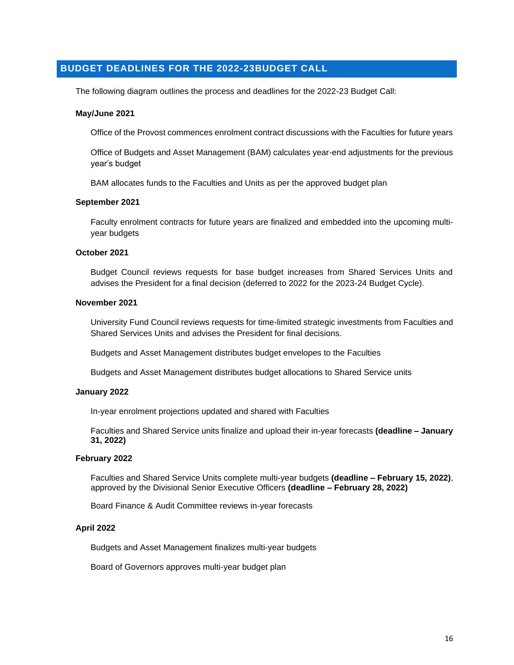### <span id="page-15-0"></span>**BUDGET DEADLINES FOR THE 2022-23BUDGET CALL**

The following diagram outlines the process and deadlines for the 2022-23 Budget Call:

#### **May/June 2021**

Office of the Provost commences enrolment contract discussions with the Faculties for future years

Office of Budgets and Asset Management (BAM) calculates year-end adjustments for the previous year's budget

BAM allocates funds to the Faculties and Units as per the approved budget plan

#### **September 2021**

Faculty enrolment contracts for future years are finalized and embedded into the upcoming multiyear budgets

#### **October 2021**

Budget Council reviews requests for base budget increases from Shared Services Units and advises the President for a final decision (deferred to 2022 for the 2023-24 Budget Cycle).

#### **November 2021**

University Fund Council reviews requests for time-limited strategic investments from Faculties and Shared Services Units and advises the President for final decisions.

Budgets and Asset Management distributes budget envelopes to the Faculties

Budgets and Asset Management distributes budget allocations to Shared Service units

#### **January 2022**

In-year enrolment projections updated and shared with Faculties

Faculties and Shared Service units finalize and upload their in-year forecasts **(deadline – January 31, 2022)**

#### **February 2022**

Faculties and Shared Service Units complete multi-year budgets **(deadline – February 15, 2022)**, approved by the Divisional Senior Executive Officers **(deadline – February 28, 2022)**

Board Finance & Audit Committee reviews in-year forecasts

#### **April 2022**

Budgets and Asset Management finalizes multi-year budgets

Board of Governors approves multi-year budget plan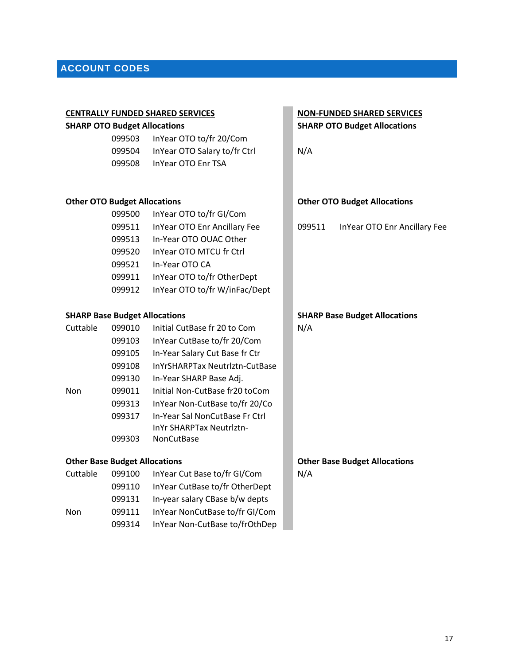# <span id="page-16-0"></span>**ACCOUNT CODES**

|                                      |        | <b>CENTRALLY FUNDED SHARED SERVICES</b> |        | <b>NON-FUNDED SHARED SERVICES</b>    |
|--------------------------------------|--------|-----------------------------------------|--------|--------------------------------------|
| <b>SHARP OTO Budget Allocations</b>  |        |                                         |        | <b>SHARP OTO Budget Allocations</b>  |
|                                      | 099503 | InYear OTO to/fr 20/Com                 |        |                                      |
|                                      | 099504 | InYear OTO Salary to/fr Ctrl            | N/A    |                                      |
|                                      | 099508 | <b>InYear OTO Enr TSA</b>               |        |                                      |
|                                      |        |                                         |        |                                      |
| <b>Other OTO Budget Allocations</b>  |        |                                         |        | <b>Other OTO Budget Allocations</b>  |
|                                      | 099500 | InYear OTO to/fr GI/Com                 |        |                                      |
|                                      | 099511 | InYear OTO Enr Ancillary Fee            | 099511 | InYear OTO Enr Ancillary Fee         |
|                                      | 099513 | In-Year OTO OUAC Other                  |        |                                      |
|                                      | 099520 | InYear OTO MTCU fr Ctrl                 |        |                                      |
|                                      | 099521 | In-Year OTO CA                          |        |                                      |
|                                      | 099911 | InYear OTO to/fr OtherDept              |        |                                      |
|                                      | 099912 | InYear OTO to/fr W/inFac/Dept           |        |                                      |
| <b>SHARP Base Budget Allocations</b> |        |                                         |        | <b>SHARP Base Budget Allocations</b> |
| Cuttable                             | 099010 | Initial CutBase fr 20 to Com            | N/A    |                                      |
|                                      | 099103 | InYear CutBase to/fr 20/Com             |        |                                      |
|                                      | 099105 | In-Year Salary Cut Base fr Ctr          |        |                                      |
|                                      | 099108 | InYrSHARPTax Neutrlztn-CutBase          |        |                                      |
|                                      | 099130 | In-Year SHARP Base Adj.                 |        |                                      |
| Non                                  | 099011 | Initial Non-CutBase fr20 toCom          |        |                                      |
|                                      | 099313 | InYear Non-CutBase to/fr 20/Co          |        |                                      |
|                                      | 099317 | In-Year Sal NonCutBase Fr Ctrl          |        |                                      |
|                                      |        | InYr SHARPTax Neutriztn-                |        |                                      |
|                                      | 099303 | <b>NonCutBase</b>                       |        |                                      |
| <b>Other Base Budget Allocations</b> |        |                                         |        | <b>Other Base Budget Allocations</b> |
| Cuttable                             | 099100 | InYear Cut Base to/fr GI/Com            | N/A    |                                      |
|                                      | 099110 | InYear CutBase to/fr OtherDept          |        |                                      |
|                                      | 099131 | In-year salary CBase b/w depts          |        |                                      |
| Non                                  | 099111 | InYear NonCutBase to/fr GI/Com          |        |                                      |
|                                      | 099314 | InYear Non-CutBase to/frOthDep          |        |                                      |